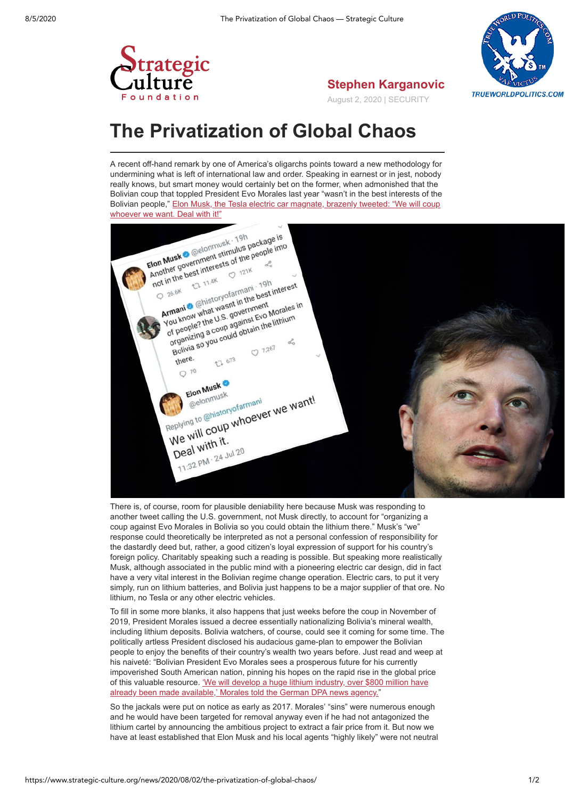

**Stephen Karganovic** August 2, 2020 | SECURITY

## **The Privatization of Global Chaos**

trategic

A recent off-hand remark by one of America's oligarchs points toward a new methodology for undermining what is left of international law and order. Speaking in earnest or in jest, nobody really knows, but smart money would certainly bet on the former, when admonished that the Bolivian coup that toppled President Evo Morales last year "wasn't in the best interests of the [Bolivian people," Elon Musk, the Tesla electric car magnate, brazenly tweeted: "We will coup](https://www.counterpunch.org/2020/07/29/we-will-coup-whoever-we-want-elon-musk-and-the-overthrow-of-democracy-in-bolivia/) whoever we want. Deal with it!"



There is, of course, room for plausible deniability here because Musk was responding to another tweet calling the U.S. government, not Musk directly, to account for "organizing a coup against Evo Morales in Bolivia so you could obtain the lithium there." Musk's "we" response could theoretically be interpreted as not a personal confession of responsibility for the dastardly deed but, rather, a good citizen's loyal expression of support for his country's foreign policy. Charitably speaking such a reading is possible. But speaking more realistically Musk, although associated in the public mind with a pioneering electric car design, did in fact have a very vital interest in the Bolivian regime change operation. Electric cars, to put it very simply, run on lithium batteries, and Bolivia just happens to be a major supplier of that ore. No lithium, no Tesla or any other electric vehicles.

To fill in some more blanks, it also happens that just weeks before the coup in November of 2019, President Morales issued a decree essentially nationalizing Bolivia's mineral wealth, including lithium deposits. Bolivia watchers, of course, could see it coming for some time. The politically artless President disclosed his audacious game-plan to empower the Bolivian people to enjoy the benefits of their country's wealth two years before. Just read and weep at his naiveté: "Bolivian President Evo Morales sees a prosperous future for his currently impoverished South American nation, pinning his hopes on the rapid rise in the global price [of this valuable resource. 'We will develop a huge lithium industry, over \\$800 million have](https://www.dw.com/en/bolivias-evo-morales-plans-lithium-mining-offensive/a-39727810) already been made available,' Morales told the German DPA news agency."

So the jackals were put on notice as early as 2017. Morales' "sins" were numerous enough and he would have been targeted for removal anyway even if he had not antagonized the lithium cartel by announcing the ambitious project to extract a fair price from it. But now we have at least established that Elon Musk and his local agents "highly likely" were not neutral